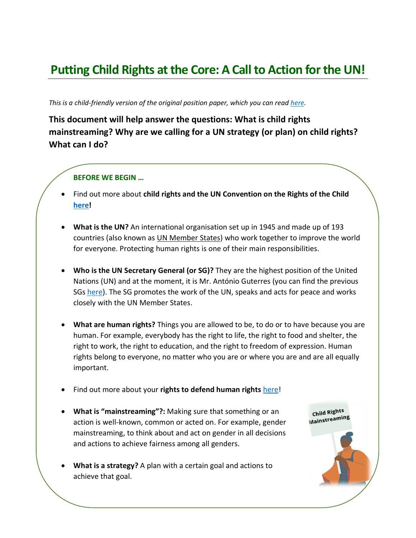# **Putting Child Rights at the Core: A Call to Action for the UN!**

*This is a child-friendly version of the original position paper, which you can rea[d here.](https://www.childrightsconnect.org/wp-content/uploads/2021/09/positionpaperourcommonagenda_crcnct_final.pdf)*

## **This document will help answer the questions: What is child rights mainstreaming? Why are we calling for a UN strategy (or plan) on child rights? What can I do?**

#### **BEFORE WE BEGIN …**

- Find out more about **child rights and the UN Convention on the Rights of the Child [here!](https://ohchr.org/EN/HRBodies/CRC/Pages/InformationForChildren.aspx)**
- **What is the UN?** An international organisation set up in 1945 and made up of 193 countries (also known as UN Member States) who work together to improve the world for everyone. Protecting human rights is one of their main responsibilities.
- **Who is the UN Secretary General (or SG)?** They are the highest position of the United Nations (UN) and at the moment, it is Mr. António Guterres (you can find the previous SGs [here\)](https://www.un.org/sg/en/appointment.shtml). The SG promotes the work of the UN, speaks and acts for peace and works closely with the UN Member States.
- **What are human rights?** Things you are allowed to be, to do or to have because you are human. For example, everybody has the right to life, the right to food and shelter, the right to work, the right to education, and the right to freedom of expression. Human rights belong to everyone, no matter who you are or where you are and are all equally important.
- Find out more about your rights to defend human rights [here!](https://www.childrightsconnect.org/wp-content/uploads/2021/10/cf-chrd-guide-en.pdf)
- **What is "mainstreaming"?:** Making sure that something or an action is well-known, common or acted on. For example, gender mainstreaming, to think about and act on gender in all decisions and actions to achieve fairness among all genders.
- **What is a strategy?** A plan with a certain goal and actions to achieve that goal.

Child Rights Mainstreaming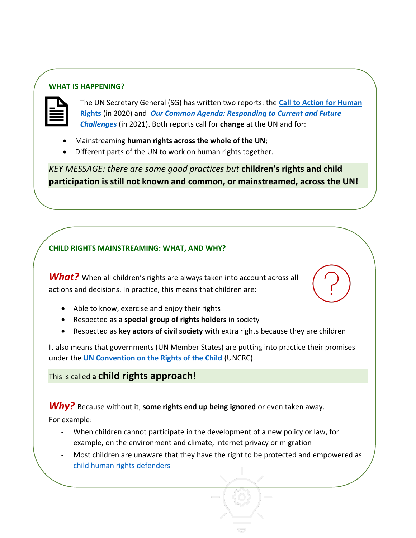#### **WHAT IS HAPPENING?**



The UN Secretary General (SG) has written two reports: the **[Call to Action for Human](https://www.un.org/en/content/action-for-human-rights/index.shtml)  [Rights](https://www.un.org/en/content/action-for-human-rights/index.shtml)** (in 2020) and *[Our Common Agenda: Responding to Current and Future](https://www.un.org/en/un75/common-agenda)  [Challenges](https://www.un.org/en/un75/common-agenda)* (in 2021). Both reports call for **change** at the UN and for:

- Mainstreaming **human rights across the whole of the UN**;
- Different parts of the UN to work on human rights together.

*KEY MESSAGE: there are some good practices but* **children's rights and child participation is still not known and common, or mainstreamed, across the UN!**

#### **CHILD RIGHTS MAINSTREAMING: WHAT, AND WHY?**

*What?* When all children's rights are always taken into account across all actions and decisions. In practice, this means that children are:

- Able to know, exercise and enjoy their rights
- Respected as a **special group of rights holders** in society
- Respected as **key actors of civil society** with extra rights because they are children

It also means that governments (UN Member States) are putting into practice their promises under the **[UN Convention on the Rights of the Child](https://ohchr.org/EN/HRBodies/CRC/Pages/InformationForChildren.aspx)** (UNCRC).

#### This is called **a child rights approach!**

## *Why?* Because without it, **some rights end up being ignored** or even taken away.

For example:

- When children cannot participate in the development of a new policy or law, for example, on the environment and climate, internet privacy or migration
- Most children are unaware that they have the right to be protected and empowered as [child human rights defenders](https://www.childrightsconnect.org/wp-content/uploads/2021/10/cf-chrd-guide-en.pdf)